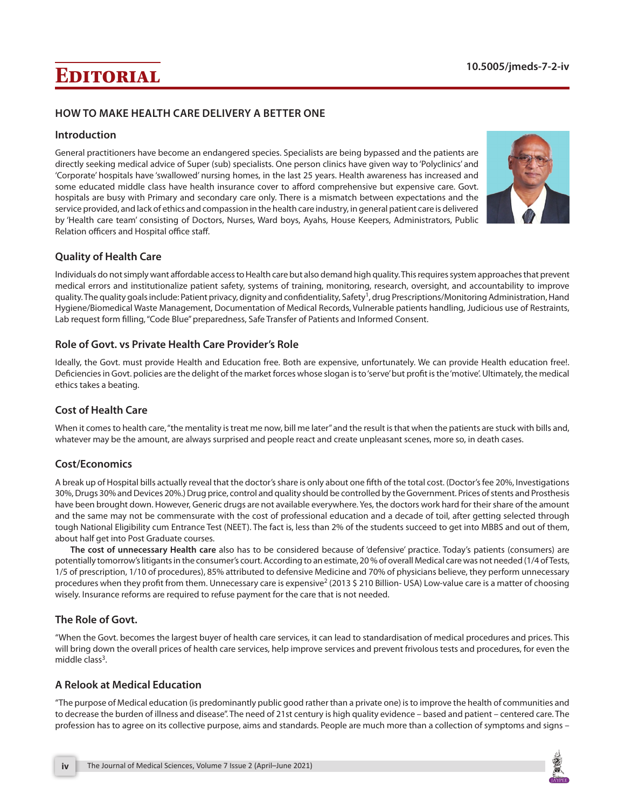# **Editorial 10.5005/jmeds-7-2-iv**

## **HOW TO MAKE HEALTH CARE DELIVERY A BETTER ONE**

### **Introduction**

General practitioners have become an endangered species. Specialists are being bypassed and the patients are directly seeking medical advice of Super (sub) specialists. One person clinics have given way to 'Polyclinics' and 'Corporate' hospitals have 'swallowed' nursing homes, in the last 25 years. Health awareness has increased and some educated middle class have health insurance cover to afford comprehensive but expensive care. Govt. hospitals are busy with Primary and secondary care only. There is a mismatch between expectations and the service provided, and lack of ethics and compassion in the health care industry, in general patient care is delivered by 'Health care team' consisting of Doctors, Nurses, Ward boys, Ayahs, House Keepers, Administrators, Public Relation officers and Hospital office staff.



## **Quality of Health Care**

Individuals do not simply want affordable access to Health care but also demand high quality. This requires system approaches that prevent medical errors and institutionalize patient safety, systems of training, monitoring, research, oversight, and accountability to improve quality. The quality goals include: Patient privacy, dignity and confidentiality, Safety<sup>1</sup>, drug Prescriptions/Monitoring Administration, Hand Hygiene/Biomedical Waste Management, Documentation of Medical Records, Vulnerable patients handling, Judicious use of Restraints, Lab request form filling, "Code Blue" preparedness, Safe Transfer of Patients and Informed Consent.

### **Role of Govt. vs Private Health Care Provider's Role**

Ideally, the Govt. must provide Health and Education free. Both are expensive, unfortunately. We can provide Health education free!. Deficiencies in Govt. policies are the delight of the market forces whose slogan is to 'serve' but profit is the 'motive'. Ultimately, the medical ethics takes a beating.

## **Cost of Health Care**

When it comes to health care, "the mentality is treat me now, bill me later" and the result is that when the patients are stuck with bills and, whatever may be the amount, are always surprised and people react and create unpleasant scenes, more so, in death cases.

## **Cost/Economics**

A break up of Hospital bills actually reveal that the doctor's share is only about one fifth of the total cost. (Doctor's fee 20%, Investigations 30%, Drugs 30% and Devices 20%.) Drug price, control and quality should be controlled by the Government. Prices of stents and Prosthesis have been brought down. However, Generic drugs are not available everywhere. Yes, the doctors work hard for their share of the amount and the same may not be commensurate with the cost of professional education and a decade of toil, after getting selected through tough National Eligibility cum Entrance Test (NEET). The fact is, less than 2% of the students succeed to get into MBBS and out of them, about half get into Post Graduate courses.

**The cost of unnecessary Health care** also has to be considered because of 'defensive' practice. Today's patients (consumers) are potentially tomorrow's litigants in the consumer's court. According to an estimate,20 % of overall Medical care was not needed (1/4 of Tests, 1/5 of prescription, 1/10 of procedures), 85% attributed to defensive Medicine and 70% of physicians believe, they perform unnecessary procedures when they profit from them. Unnecessary care is expensive<sup>2</sup> (2013 \$ 210 Billion- USA) Low-value care is a matter of choosing wisely. Insurance reforms are required to refuse payment for the care that is not needed.

## **The Role of Govt.**

"When the Govt. becomes the largest buyer of health care services, it can lead to standardisation of medical procedures and prices. This will bring down the overall prices of health care services, help improve services and prevent frivolous tests and procedures, for even the middle class $3$ .

## **A Relook at Medical Education**

"The purpose of Medical education (is predominantly public good rather than a private one) is to improve the health of communities and to decrease the burden of illness and disease". The need of 21st century is high quality evidence – based and patient – centered care. The profession has to agree on its collective purpose, aims and standards. People are much more than a collection of symptoms and signs –

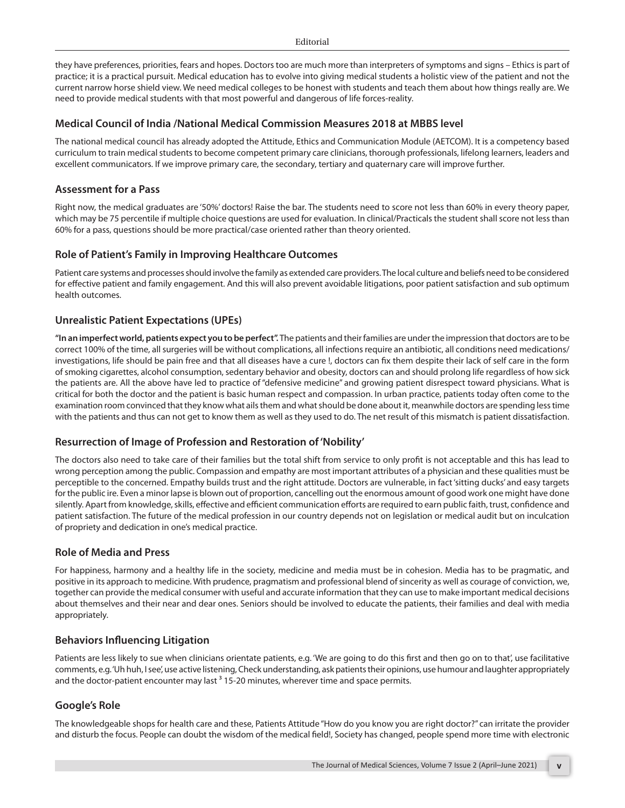they have preferences, priorities, fears and hopes. Doctors too are much more than interpreters of symptoms and signs – Ethics is part of practice; it is a practical pursuit. Medical education has to evolve into giving medical students a holistic view of the patient and not the current narrow horse shield view. We need medical colleges to be honest with students and teach them about how things really are. We need to provide medical students with that most powerful and dangerous of life forces-reality.

#### **Medical Council of India /National Medical Commission Measures 2018 at MBBS level**

The national medical council has already adopted the Attitude, Ethics and Communication Module (AETCOM). It is a competency based curriculum to train medical students to become competent primary care clinicians, thorough professionals, lifelong learners, leaders and excellent communicators. If we improve primary care, the secondary, tertiary and quaternary care will improve further.

## **Assessment for a Pass**

Right now, the medical graduates are '50%' doctors! Raise the bar. The students need to score not less than 60% in every theory paper, which may be 75 percentile if multiple choice questions are used for evaluation. In clinical/Practicals the student shall score not less than 60% for a pass, questions should be more practical/case oriented rather than theory oriented.

## **Role of Patient's Family in Improving Healthcare Outcomes**

Patient care systems and processes should involve the family as extended care providers. The local culture and beliefs need to be considered for effective patient and family engagement. And this will also prevent avoidable litigations, poor patient satisfaction and sub optimum health outcomes.

## **Unrealistic Patient Expectations (UPEs)**

**"In an imperfect world, patients expect you to be perfect".** The patients and their families are under the impression that doctors are to be correct 100% of the time, all surgeries will be without complications, all infections require an antibiotic, all conditions need medications/ investigations, life should be pain free and that all diseases have a cure !, doctors can fix them despite their lack of self care in the form of smoking cigarettes, alcohol consumption, sedentary behavior and obesity, doctors can and should prolong life regardless of how sick the patients are. All the above have led to practice of "defensive medicine" and growing patient disrespect toward physicians. What is critical for both the doctor and the patient is basic human respect and compassion. In urban practice, patients today often come to the examination room convinced that they know what ails them and what should be done about it, meanwhile doctors are spending less time with the patients and thus can not get to know them as well as they used to do. The net result of this mismatch is patient dissatisfaction.

## **Resurrection of Image of Profession and Restoration of 'Nobility'**

The doctors also need to take care of their families but the total shift from service to only profit is not acceptable and this has lead to wrong perception among the public. Compassion and empathy are most important attributes of a physician and these qualities must be perceptible to the concerned. Empathy builds trust and the right attitude. Doctors are vulnerable, in fact 'sitting ducks' and easy targets for the public ire. Even a minor lapse is blown out of proportion, cancelling out the enormous amount of good work one might have done silently. Apart from knowledge, skills, effective and efficient communication efforts are required to earn public faith, trust, confidence and patient satisfaction. The future of the medical profession in our country depends not on legislation or medical audit but on inculcation of propriety and dedication in one's medical practice.

#### **Role of Media and Press**

For happiness, harmony and a healthy life in the society, medicine and media must be in cohesion. Media has to be pragmatic, and positive in its approach to medicine. With prudence, pragmatism and professional blend of sincerity as well as courage of conviction, we, together can provide the medical consumer with useful and accurate information that they can use to make important medical decisions about themselves and their near and dear ones. Seniors should be involved to educate the patients, their families and deal with media appropriately.

## **Behaviors Influencing Litigation**

Patients are less likely to sue when clinicians orientate patients, e.g. 'We are going to do this first and then go on to that', use facilitative comments, e.g. 'Uh huh, I see', use active listening, Check understanding, ask patients their opinions, use humour and laughter appropriately and the doctor-patient encounter may last  $3$  15-20 minutes, wherever time and space permits.

## **Google's Role**

The knowledgeable shops for health care and these, Patients Attitude "How do you know you are right doctor?" can irritate the provider and disturb the focus. People can doubt the wisdom of the medical field!, Society has changed, people spend more time with electronic